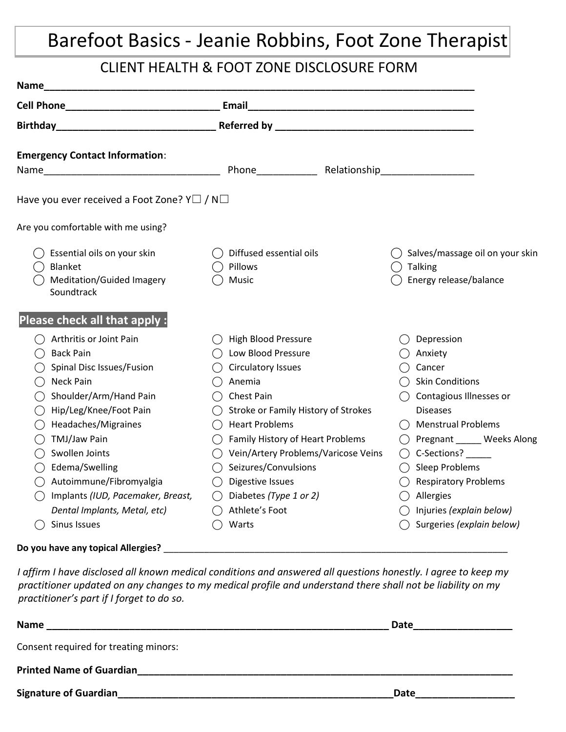## Barefoot Basics - Jeanie Robbins, Foot Zone Therapist

#### CLIENT HEALTH & FOOT ZONE DISCLOSURE FORM

| Soundtrack                                                                                                                                                                                                                  | Diffused essential oils<br>Pillows<br>Music                                                                                                                                                                                                                                                                              | ◯ Salves/massage oil on your skin<br>$\bigcirc$ Talking<br>Energy release/balance                                                                                                                                                                                              |
|-----------------------------------------------------------------------------------------------------------------------------------------------------------------------------------------------------------------------------|--------------------------------------------------------------------------------------------------------------------------------------------------------------------------------------------------------------------------------------------------------------------------------------------------------------------------|--------------------------------------------------------------------------------------------------------------------------------------------------------------------------------------------------------------------------------------------------------------------------------|
|                                                                                                                                                                                                                             |                                                                                                                                                                                                                                                                                                                          |                                                                                                                                                                                                                                                                                |
| <b>Back Pain</b><br>Spinal Disc Issues/Fusion<br><b>Neck Pain</b><br>Shoulder/Arm/Hand Pain<br>Hip/Leg/Knee/Foot Pain<br>Headaches/Migraines<br>TMJ/Jaw Pain<br>Swollen Joints<br>Edema/Swelling<br>Autoimmune/Fibromyalgia | High Blood Pressure<br>Low Blood Pressure<br>Circulatory Issues<br>Anemia<br>Chest Pain<br>Stroke or Family History of Strokes<br><b>Heart Problems</b><br>Family History of Heart Problems<br>Vein/Artery Problems/Varicose Veins<br>( )<br>Seizures/Convulsions<br>Digestive Issues<br>$($ )<br>Diabetes (Type 1 or 2) | Depression<br>Anxiety<br>Cancer<br><b>Skin Conditions</b><br>Contagious Illnesses or<br><b>Diseases</b><br><b>Menstrual Problems</b><br>◯ Pregnant _____ Weeks Along<br>$\bigcirc$ C-Sections? ______<br>$\bigcirc$ Sleep Problems<br><b>Respiratory Problems</b><br>Allergies |
|                                                                                                                                                                                                                             | <b>Emergency Contact Information:</b><br>Are you comfortable with me using?<br>Essential oils on your skin<br>Blanket<br>Meditation/Guided Imagery<br>Please check all that apply :<br>Arthritis or Joint Pain                                                                                                           | Have you ever received a Foot Zone? Y $\Box$ / N $\Box$                                                                                                                                                                                                                        |

*I affirm I have disclosed all known medical conditions and answered all questions honestly. I agree to keep my practitioner updated on any changes to my medical profile and understand there shall not be liability on my practitioner's part if I forget to do so.*

| <b>Name</b>                           | Date |
|---------------------------------------|------|
| Consent required for treating minors: |      |
| <b>Printed Name of Guardian</b>       |      |
| <b>Signature of Guardian</b>          | Date |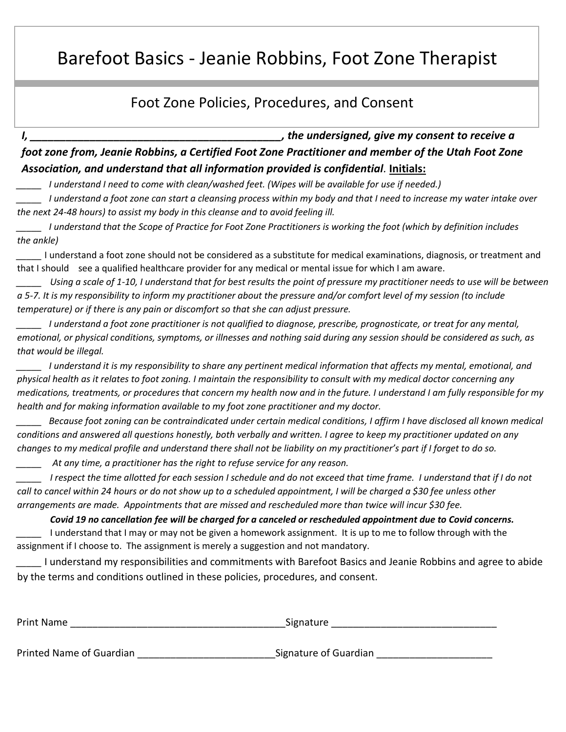### Barefoot Basics - Jeanie Robbins, Foot Zone Therapist

#### Foot Zone Policies, Procedures, and Consent

*I, \_\_\_\_\_\_\_\_\_\_\_\_\_\_\_\_\_\_\_\_\_\_\_\_\_\_\_\_\_\_\_\_\_\_\_\_\_\_\_\_\_\_, the undersigned, give my consent to receive a foot zone from, Jeanie Robbins, a Certified Foot Zone Practitioner and member of the Utah Foot Zone Association, and understand that all information provided is confidential.* **Initials:**

*\_\_\_\_\_ I understand I need to come with clean/washed feet. (Wipes will be available for use if needed.)*

*\_\_\_\_\_ I understand a foot zone can start a cleansing process within my body and that I need to increase my water intake over the next 24-48 hours) to assist my body in this cleanse and to avoid feeling ill.*

*\_\_\_\_\_ I understand that the Scope of Practice for Foot Zone Practitioners is working the foot (which by definition includes the ankle)*

*\_\_\_\_\_* I understand a foot zone should not be considered as a substitute for medical examinations, diagnosis, or treatment and that I should see a qualified healthcare provider for any medical or mental issue for which I am aware.

*Using a scale of 1-10, I understand that for best results the point of pressure my practitioner needs to use will be between a 5-7. It is my responsibility to inform my practitioner about the pressure and/or comfort level of my session (to include temperature) or if there is any pain or discomfort so that she can adjust pressure.*

*\_\_\_\_\_ I understand a foot zone practitioner is not qualified to diagnose, prescribe, prognosticate, or treat for any mental, emotional, or physical conditions, symptoms, or illnesses and nothing said during any session should be considered as such, as that would be illegal.*

*\_\_\_\_\_ I understand it is my responsibility to share any pertinent medical information that affects my mental, emotional, and physical health as it relates to foot zoning. I maintain the responsibility to consult with my medical doctor concerning any medications, treatments, or procedures that concern my health now and in the future. I understand I am fully responsible for my health and for making information available to my foot zone practitioner and my doctor.*

*\_\_\_\_\_ Because foot zoning can be contraindicated under certain medical conditions, I affirm I have disclosed all known medical conditions and answered all questions honestly, both verbally and written. I agree to keep my practitioner updated on any changes to my medical profile and understand there shall not be liability on my practitioner's part if I forget to do so.*

*\_\_\_\_\_ At any time, a practitioner has the right to refuse service for any reason.*

*I respect the time allotted for each session I schedule and do not exceed that time frame. I understand that if I do not call to cancel within 24 hours or do not show up to a scheduled appointment, I will be charged a \$30 fee unless other arrangements are made. Appointments that are missed and rescheduled more than twice will incur \$30 fee.*

*Covid 19 no cancellation fee will be charged for a canceled or rescheduled appointment due to Covid concerns.*  I understand that I may or may not be given a homework assignment. It is up to me to follow through with the assignment if I choose to. The assignment is merely a suggestion and not mandatory.

*\_\_\_\_\_* I understand my responsibilities and commitments with Barefoot Basics and Jeanie Robbins and agree to abide by the terms and conditions outlined in these policies, procedures, and consent.

| <b>Print Name</b>        | Signature             |
|--------------------------|-----------------------|
| Printed Name of Guardian | Signature of Guardian |